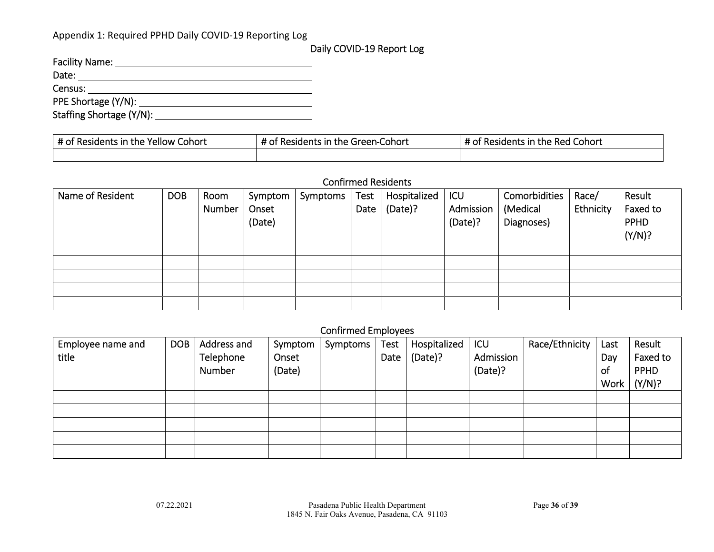### Appendix 1: Required PPHD Daily COVID‐19 Reporting Log

# Daily COVID‐19 Report Log

| <b>Facility Name:</b>    |
|--------------------------|
| Date:                    |
| Census:                  |
| PPE Shortage (Y/N):      |
| Staffing Shortage (Y/N): |

| # of Residents in the<br>Cohort<br>Yellow | $\cdot$ Residents in .<br>: Green-Cohort<br>the | -44<br><sup>f</sup> Residents in the Red Cohort |
|-------------------------------------------|-------------------------------------------------|-------------------------------------------------|
|                                           |                                                 |                                                 |

#### Confirmed Residents

| Name of Resident | <b>DOB</b> | Room<br>Number | Symptom<br>Onset<br>(Date) | Symptoms | Test<br>Date | Hospitalized<br>(Date)? | ICU<br>Admission<br>(Date)? | Comorbidities<br>(Medical<br>Diagnoses) | Race/<br>Ethnicity | Result<br>Faxed to<br>PPHD<br>(Y/N)? |
|------------------|------------|----------------|----------------------------|----------|--------------|-------------------------|-----------------------------|-----------------------------------------|--------------------|--------------------------------------|
|                  |            |                |                            |          |              |                         |                             |                                         |                    |                                      |
|                  |            |                |                            |          |              |                         |                             |                                         |                    |                                      |
|                  |            |                |                            |          |              |                         |                             |                                         |                    |                                      |
|                  |            |                |                            |          |              |                         |                             |                                         |                    |                                      |
|                  |            |                |                            |          |              |                         |                             |                                         |                    |                                      |

# Confirmed Employees

| Employee name and | <b>DOB</b> | Address and | Symptom | Symptoms | <b>Test</b> | Hospitalized | ICU       | Race/Ethnicity | Last      | Result      |
|-------------------|------------|-------------|---------|----------|-------------|--------------|-----------|----------------|-----------|-------------|
| title             |            | Telephone   | Onset   |          | Date        | (Date)?      | Admission |                | Day       | Faxed to    |
|                   |            | Number      | 'Date)  |          |             |              | (Date)?   |                | <b>of</b> | <b>PPHD</b> |
|                   |            |             |         |          |             |              |           |                | Work      | (Y/N)?      |
|                   |            |             |         |          |             |              |           |                |           |             |
|                   |            |             |         |          |             |              |           |                |           |             |
|                   |            |             |         |          |             |              |           |                |           |             |
|                   |            |             |         |          |             |              |           |                |           |             |
|                   |            |             |         |          |             |              |           |                |           |             |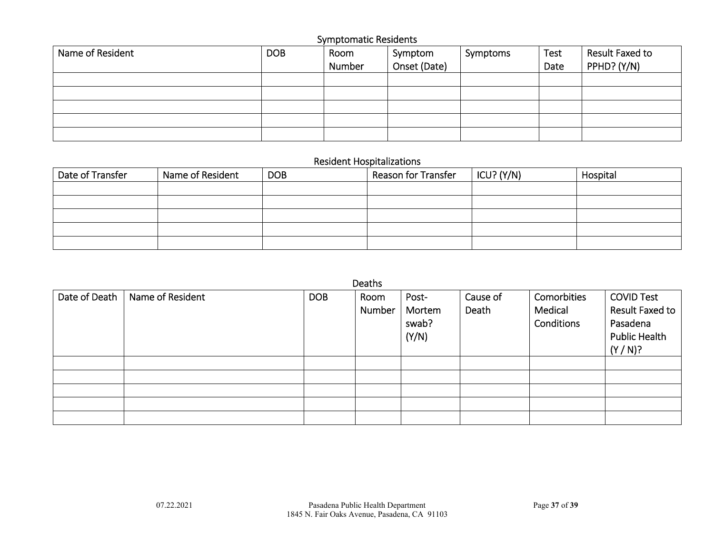| <b>Symptomatic Residents</b> |            |        |              |          |      |                 |  |  |  |  |
|------------------------------|------------|--------|--------------|----------|------|-----------------|--|--|--|--|
| Name of Resident             | <b>DOB</b> | Room   | Symptom      | Symptoms | Test | Result Faxed to |  |  |  |  |
|                              |            | Number | Onset (Date) |          | Date | PPHD? (Y/N)     |  |  |  |  |
|                              |            |        |              |          |      |                 |  |  |  |  |
|                              |            |        |              |          |      |                 |  |  |  |  |
|                              |            |        |              |          |      |                 |  |  |  |  |
|                              |            |        |              |          |      |                 |  |  |  |  |
|                              |            |        |              |          |      |                 |  |  |  |  |

# Resident Hospitalizations

| Date of Transfer | Name of Resident | <b>DOB</b> | Reason for Transfer | ICU? $(Y/N)$ | Hospital |
|------------------|------------------|------------|---------------------|--------------|----------|
|                  |                  |            |                     |              |          |
|                  |                  |            |                     |              |          |
|                  |                  |            |                     |              |          |
|                  |                  |            |                     |              |          |
|                  |                  |            |                     |              |          |

|               |                  |            | Deaths |        |          |             |                      |
|---------------|------------------|------------|--------|--------|----------|-------------|----------------------|
| Date of Death | Name of Resident | <b>DOB</b> | Room   | Post-  | Cause of | Comorbities | <b>COVID Test</b>    |
|               |                  |            | Number | Mortem | Death    | Medical     | Result Faxed to      |
|               |                  |            |        | swab?  |          | Conditions  | Pasadena             |
|               |                  |            |        | (Y/N)  |          |             | <b>Public Health</b> |
|               |                  |            |        |        |          |             |                      |
|               |                  |            |        |        |          |             | (Y/N)?               |
|               |                  |            |        |        |          |             |                      |
|               |                  |            |        |        |          |             |                      |
|               |                  |            |        |        |          |             |                      |
|               |                  |            |        |        |          |             |                      |
|               |                  |            |        |        |          |             |                      |